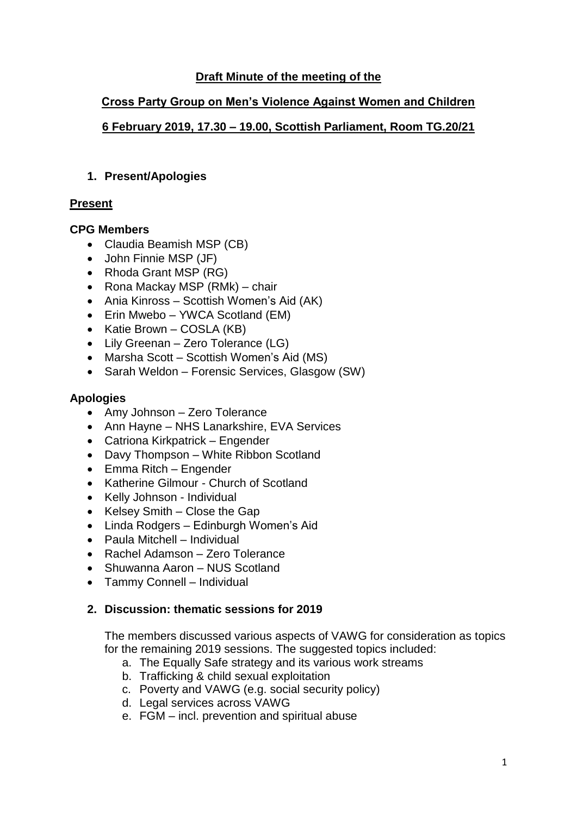# **Draft Minute of the meeting of the**

## **Cross Party Group on Men's Violence Against Women and Children**

# **6 February 2019, 17.30 – 19.00, Scottish Parliament, Room TG.20/21**

#### **1. Present/Apologies**

# **Present**

# **CPG Members**

- Claudia Beamish MSP (CB)
- John Finnie MSP (JF)
- Rhoda Grant MSP (RG)
- Rona Mackay MSP (RMk) chair
- Ania Kinross Scottish Women's Aid (AK)
- Erin Mwebo YWCA Scotland (EM)
- Katie Brown COSLA (KB)
- Lily Greenan Zero Tolerance (LG)
- Marsha Scott Scottish Women's Aid (MS)
- Sarah Weldon Forensic Services, Glasgow (SW)

# **Apologies**

- Amy Johnson Zero Tolerance
- Ann Hayne NHS Lanarkshire, EVA Services
- Catriona Kirkpatrick Engender
- Davy Thompson White Ribbon Scotland
- Emma Ritch Engender
- Katherine Gilmour Church of Scotland
- Kelly Johnson Individual
- Kelsey Smith Close the Gap
- Linda Rodgers Edinburgh Women's Aid
- Paula Mitchell Individual
- Rachel Adamson Zero Tolerance
- Shuwanna Aaron NUS Scotland
- Tammy Connell Individual

#### **2. Discussion: thematic sessions for 2019**

The members discussed various aspects of VAWG for consideration as topics for the remaining 2019 sessions. The suggested topics included:

- a. The Equally Safe strategy and its various work streams
- b. Trafficking & child sexual exploitation
- c. Poverty and VAWG (e.g. social security policy)
- d. Legal services across VAWG
- e. FGM incl. prevention and spiritual abuse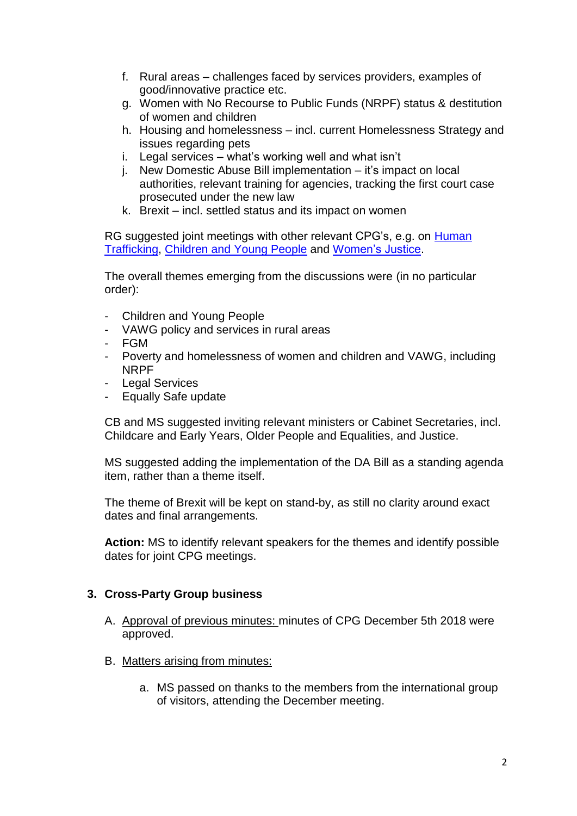- f. Rural areas challenges faced by services providers, examples of good/innovative practice etc.
- g. Women with No Recourse to Public Funds (NRPF) status & destitution of women and children
- h. Housing and homelessness incl. current Homelessness Strategy and issues regarding pets
- i. Legal services what's working well and what isn't
- j. New Domestic Abuse Bill implementation it's impact on local authorities, relevant training for agencies, tracking the first court case prosecuted under the new law
- k. Brexit incl. settled status and its impact on women

RG suggested joint meetings with other relevant CPG's, e.g. on Human [Trafficking,](https://www.parliament.scot/msps/human-trafficking.aspx) [Children and Young People](https://www.parliament.scot/msps/children-and-young-people.aspx) and [Women's Justice.](https://www.parliament.scot/msps/womens-justice.aspx)

The overall themes emerging from the discussions were (in no particular order):

- Children and Young People
- VAWG policy and services in rural areas
- FGM
- Poverty and homelessness of women and children and VAWG, including NRPF
- Legal Services
- Equally Safe update

CB and MS suggested inviting relevant ministers or Cabinet Secretaries, incl. Childcare and Early Years, Older People and Equalities, and Justice.

MS suggested adding the implementation of the DA Bill as a standing agenda item, rather than a theme itself.

The theme of Brexit will be kept on stand-by, as still no clarity around exact dates and final arrangements.

**Action:** MS to identify relevant speakers for the themes and identify possible dates for joint CPG meetings.

#### **3. Cross-Party Group business**

- A. Approval of previous minutes: minutes of CPG December 5th 2018 were approved.
- B. Matters arising from minutes:
	- a. MS passed on thanks to the members from the international group of visitors, attending the December meeting.